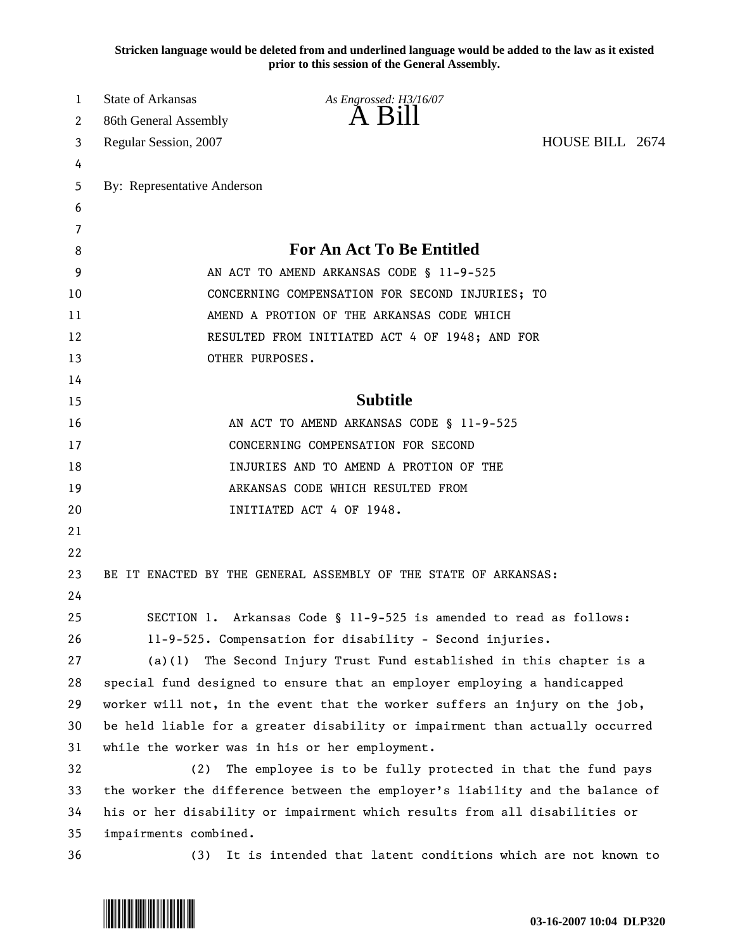**Stricken language would be deleted from and underlined language would be added to the law as it existed prior to this session of the General Assembly.**

| 1  | <b>State of Arkansas</b>                                                     | As Engrossed: H3/16/07                                                        |                 |  |
|----|------------------------------------------------------------------------------|-------------------------------------------------------------------------------|-----------------|--|
| 2  | 86th General Assembly                                                        | A Bill                                                                        |                 |  |
| 3  | Regular Session, 2007                                                        |                                                                               | HOUSE BILL 2674 |  |
| 4  |                                                                              |                                                                               |                 |  |
| 5  | By: Representative Anderson                                                  |                                                                               |                 |  |
| 6  |                                                                              |                                                                               |                 |  |
| 7  |                                                                              |                                                                               |                 |  |
| 8  |                                                                              | For An Act To Be Entitled                                                     |                 |  |
| 9  | AN ACT TO AMEND ARKANSAS CODE § 11-9-525                                     |                                                                               |                 |  |
| 10 | CONCERNING COMPENSATION FOR SECOND INJURIES; TO                              |                                                                               |                 |  |
| 11 | AMEND A PROTION OF THE ARKANSAS CODE WHICH                                   |                                                                               |                 |  |
| 12 | RESULTED FROM INITIATED ACT 4 OF 1948; AND FOR                               |                                                                               |                 |  |
| 13 |                                                                              | OTHER PURPOSES.                                                               |                 |  |
| 14 |                                                                              |                                                                               |                 |  |
| 15 |                                                                              | <b>Subtitle</b>                                                               |                 |  |
| 16 |                                                                              | AN ACT TO AMEND ARKANSAS CODE § 11-9-525                                      |                 |  |
| 17 | CONCERNING COMPENSATION FOR SECOND                                           |                                                                               |                 |  |
| 18 | INJURIES AND TO AMEND A PROTION OF THE                                       |                                                                               |                 |  |
| 19 |                                                                              | ARKANSAS CODE WHICH RESULTED FROM                                             |                 |  |
| 20 |                                                                              | INITIATED ACT 4 OF 1948.                                                      |                 |  |
| 21 |                                                                              |                                                                               |                 |  |
| 22 |                                                                              |                                                                               |                 |  |
| 23 |                                                                              | BE IT ENACTED BY THE GENERAL ASSEMBLY OF THE STATE OF ARKANSAS:               |                 |  |
| 24 |                                                                              |                                                                               |                 |  |
| 25 |                                                                              | SECTION 1. Arkansas Code § 11-9-525 is amended to read as follows:            |                 |  |
| 26 |                                                                              | 11-9-525. Compensation for disability - Second injuries.                      |                 |  |
| 27 | (a)(1)                                                                       | The Second Injury Trust Fund established in this chapter is a                 |                 |  |
| 28 |                                                                              | special fund designed to ensure that an employer employing a handicapped      |                 |  |
| 29 |                                                                              | worker will not, in the event that the worker suffers an injury on the job,   |                 |  |
| 30 | be held liable for a greater disability or impairment than actually occurred |                                                                               |                 |  |
| 31 |                                                                              | while the worker was in his or her employment.                                |                 |  |
| 32 | (2)                                                                          | The employee is to be fully protected in that the fund pays                   |                 |  |
| 33 |                                                                              | the worker the difference between the employer's liability and the balance of |                 |  |
| 34 |                                                                              | his or her disability or impairment which results from all disabilities or    |                 |  |
| 35 | impairments combined.                                                        |                                                                               |                 |  |
| 36 | (3)                                                                          | It is intended that latent conditions which are not known to                  |                 |  |

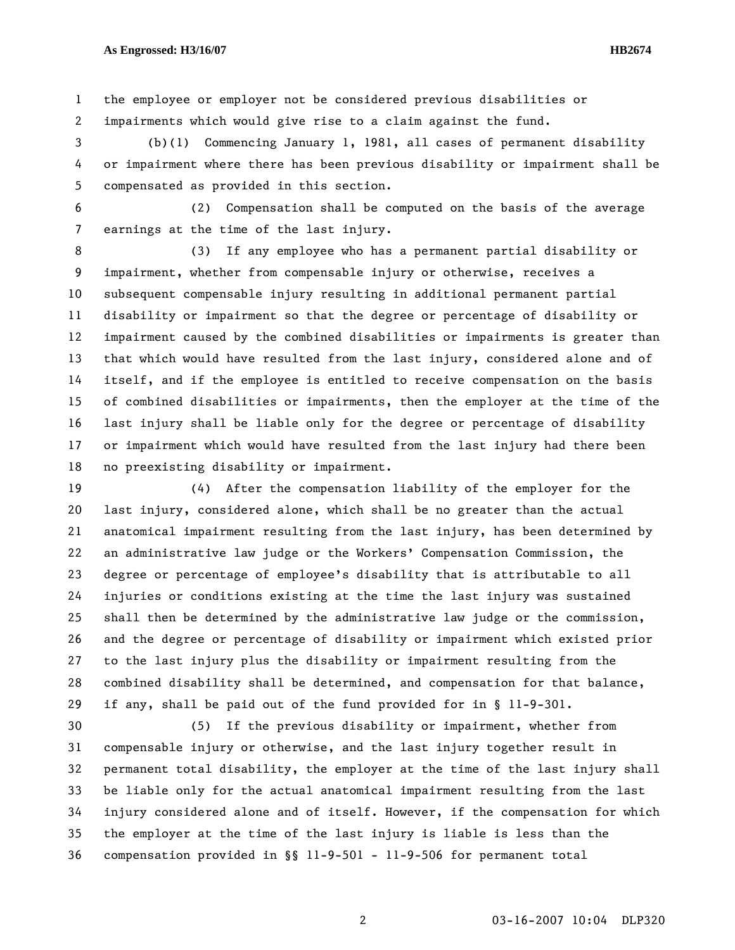1 the employee or employer not be considered previous disabilities or 2 impairments which would give rise to a claim against the fund.

3 (b)(1) Commencing January 1, 1981, all cases of permanent disability 4 or impairment where there has been previous disability or impairment shall be 5 compensated as provided in this section.

6 (2) Compensation shall be computed on the basis of the average 7 earnings at the time of the last injury.

8 (3) If any employee who has a permanent partial disability or 9 impairment, whether from compensable injury or otherwise, receives a 10 subsequent compensable injury resulting in additional permanent partial 11 disability or impairment so that the degree or percentage of disability or 12 impairment caused by the combined disabilities or impairments is greater than 13 that which would have resulted from the last injury, considered alone and of 14 itself, and if the employee is entitled to receive compensation on the basis 15 of combined disabilities or impairments, then the employer at the time of the 16 last injury shall be liable only for the degree or percentage of disability 17 or impairment which would have resulted from the last injury had there been 18 no preexisting disability or impairment.

19 (4) After the compensation liability of the employer for the 20 last injury, considered alone, which shall be no greater than the actual 21 anatomical impairment resulting from the last injury, has been determined by 22 an administrative law judge or the Workers' Compensation Commission, the 23 degree or percentage of employee's disability that is attributable to all 24 injuries or conditions existing at the time the last injury was sustained 25 shall then be determined by the administrative law judge or the commission, 26 and the degree or percentage of disability or impairment which existed prior 27 to the last injury plus the disability or impairment resulting from the 28 combined disability shall be determined, and compensation for that balance, 29 if any, shall be paid out of the fund provided for in § 11-9-301.

30 (5) If the previous disability or impairment, whether from 31 compensable injury or otherwise, and the last injury together result in 32 permanent total disability, the employer at the time of the last injury shall 33 be liable only for the actual anatomical impairment resulting from the last 34 injury considered alone and of itself. However, if the compensation for which 35 the employer at the time of the last injury is liable is less than the 36 compensation provided in §§ 11-9-501 - 11-9-506 for permanent total